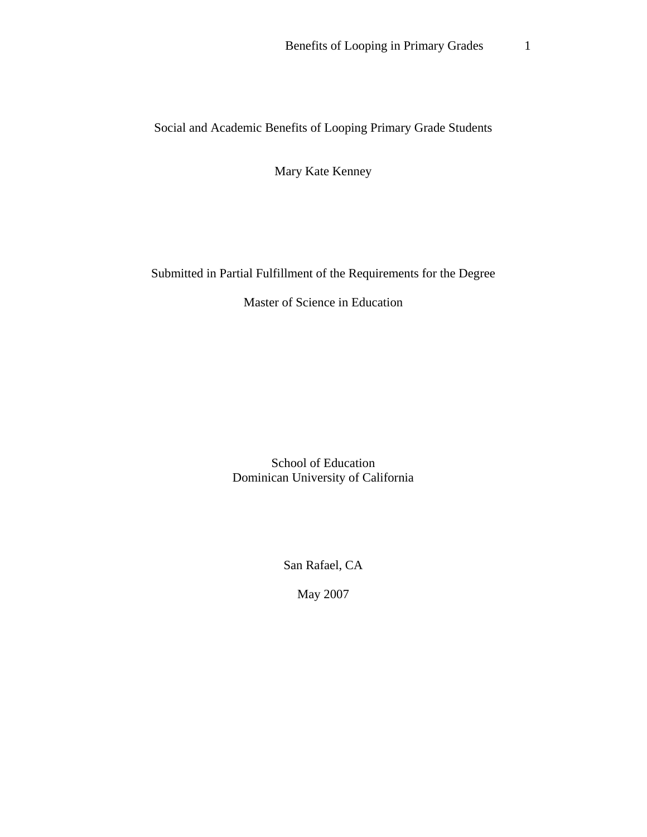Social and Academic Benefits of Looping Primary Grade Students

Mary Kate Kenney

Submitted in Partial Fulfillment of the Requirements for the Degree

Master of Science in Education

School of Education Dominican University of California

San Rafael, CA

May 2007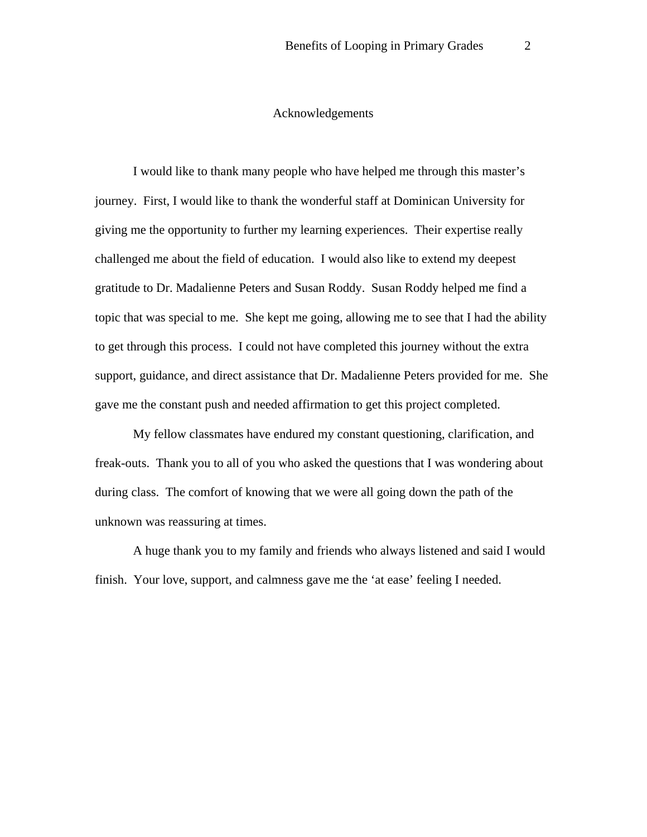### Acknowledgements

I would like to thank many people who have helped me through this master's journey. First, I would like to thank the wonderful staff at Dominican University for giving me the opportunity to further my learning experiences. Their expertise really challenged me about the field of education. I would also like to extend my deepest gratitude to Dr. Madalienne Peters and Susan Roddy. Susan Roddy helped me find a topic that was special to me. She kept me going, allowing me to see that I had the ability to get through this process. I could not have completed this journey without the extra support, guidance, and direct assistance that Dr. Madalienne Peters provided for me. She gave me the constant push and needed affirmation to get this project completed.

My fellow classmates have endured my constant questioning, clarification, and freak-outs. Thank you to all of you who asked the questions that I was wondering about during class. The comfort of knowing that we were all going down the path of the unknown was reassuring at times.

A huge thank you to my family and friends who always listened and said I would finish. Your love, support, and calmness gave me the 'at ease' feeling I needed.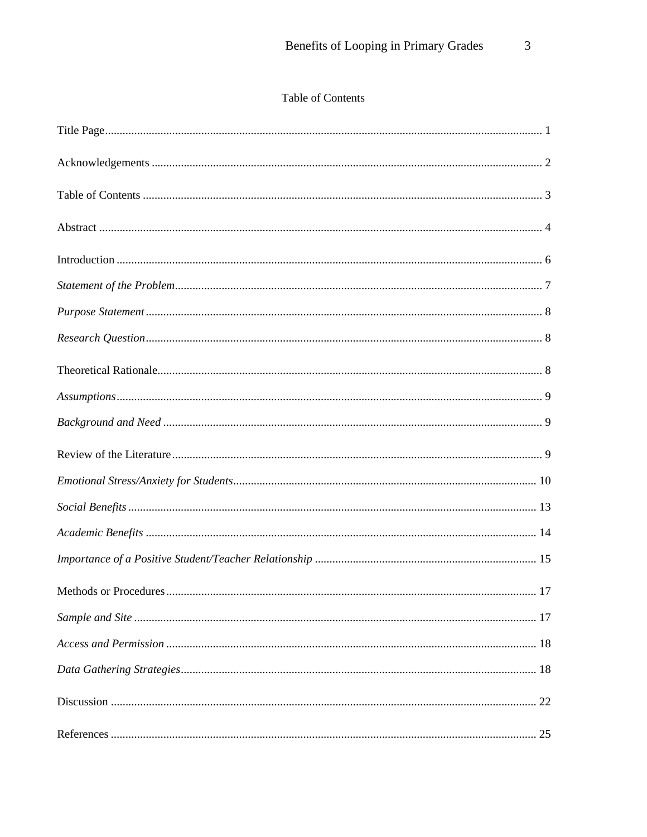# Table of Contents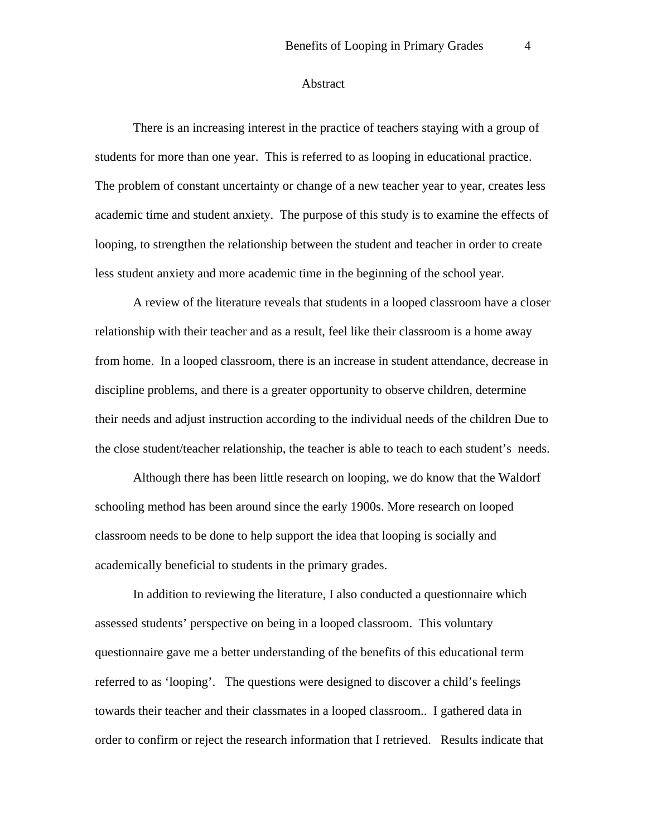#### Abstract

There is an increasing interest in the practice of teachers staying with a group of students for more than one year. This is referred to as looping in educational practice. The problem of constant uncertainty or change of a new teacher year to year, creates less academic time and student anxiety. The purpose of this study is to examine the effects of looping, to strengthen the relationship between the student and teacher in order to create less student anxiety and more academic time in the beginning of the school year.

A review of the literature reveals that students in a looped classroom have a closer relationship with their teacher and as a result, feel like their classroom is a home away from home. In a looped classroom, there is an increase in student attendance, decrease in discipline problems, and there is a greater opportunity to observe children, determine their needs and adjust instruction according to the individual needs of the children Due to the close student/teacher relationship, the teacher is able to teach to each student's needs.

Although there has been little research on looping, we do know that the Waldorf schooling method has been around since the early 1900s. More research on looped classroom needs to be done to help support the idea that looping is socially and academically beneficial to students in the primary grades.

In addition to reviewing the literature, I also conducted a questionnaire which assessed students' perspective on being in a looped classroom. This voluntary questionnaire gave me a better understanding of the benefits of this educational term referred to as 'looping'. The questions were designed to discover a child's feelings towards their teacher and their classmates in a looped classroom.. I gathered data in order to confirm or reject the research information that I retrieved. Results indicate that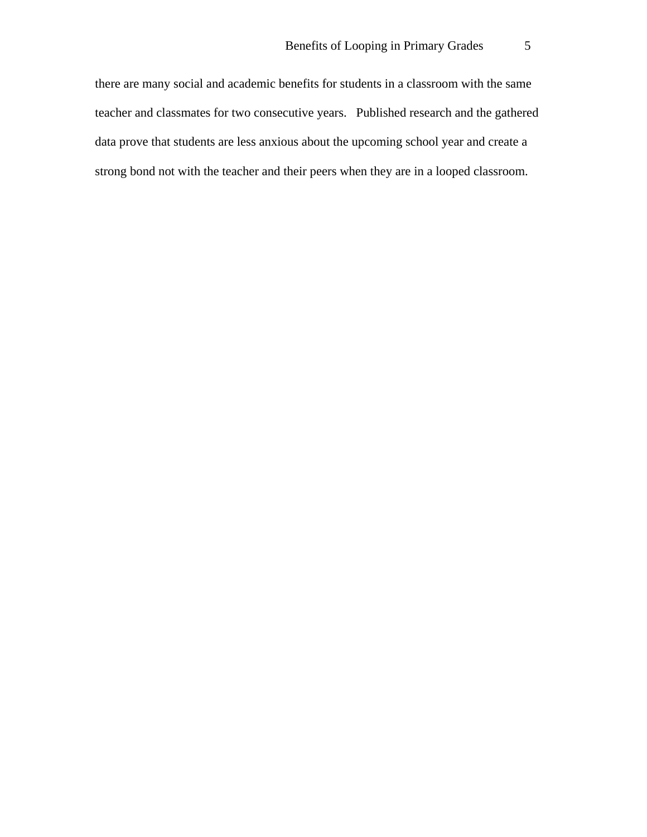there are many social and academic benefits for students in a classroom with the same teacher and classmates for two consecutive years. Published research and the gathered data prove that students are less anxious about the upcoming school year and create a strong bond not with the teacher and their peers when they are in a looped classroom.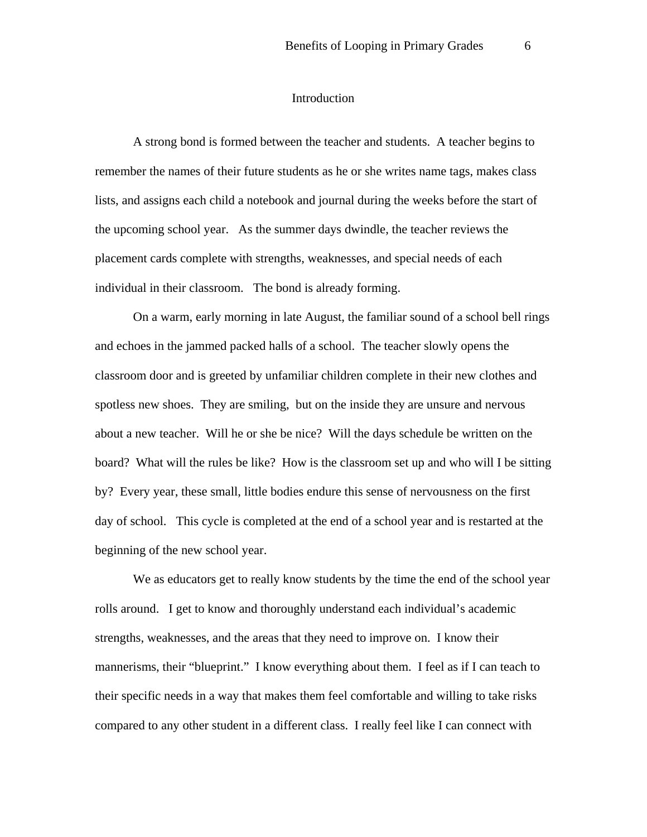#### Introduction

A strong bond is formed between the teacher and students. A teacher begins to remember the names of their future students as he or she writes name tags, makes class lists, and assigns each child a notebook and journal during the weeks before the start of the upcoming school year. As the summer days dwindle, the teacher reviews the placement cards complete with strengths, weaknesses, and special needs of each individual in their classroom. The bond is already forming.

On a warm, early morning in late August, the familiar sound of a school bell rings and echoes in the jammed packed halls of a school. The teacher slowly opens the classroom door and is greeted by unfamiliar children complete in their new clothes and spotless new shoes. They are smiling, but on the inside they are unsure and nervous about a new teacher. Will he or she be nice? Will the days schedule be written on the board? What will the rules be like? How is the classroom set up and who will I be sitting by? Every year, these small, little bodies endure this sense of nervousness on the first day of school. This cycle is completed at the end of a school year and is restarted at the beginning of the new school year.

We as educators get to really know students by the time the end of the school year rolls around. I get to know and thoroughly understand each individual's academic strengths, weaknesses, and the areas that they need to improve on. I know their mannerisms, their "blueprint." I know everything about them. I feel as if I can teach to their specific needs in a way that makes them feel comfortable and willing to take risks compared to any other student in a different class. I really feel like I can connect with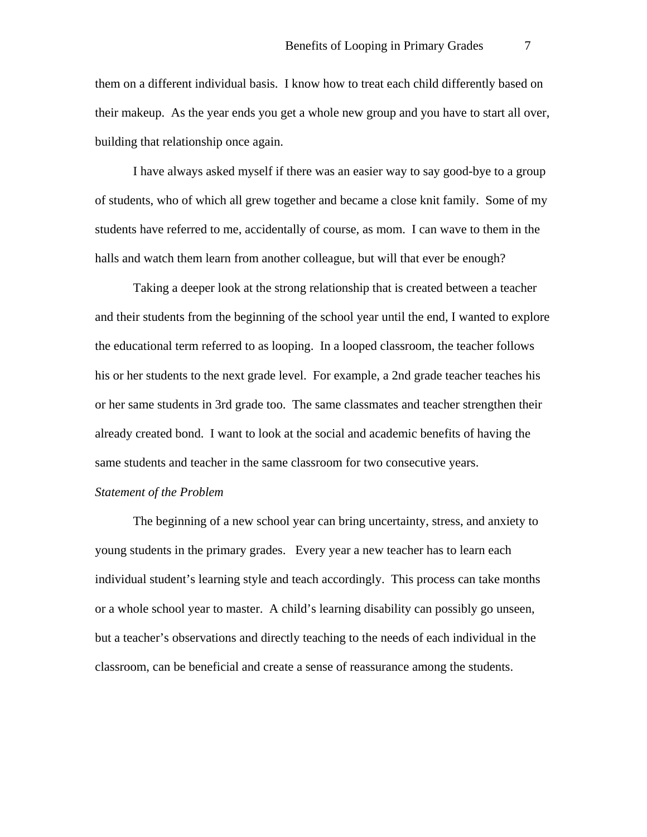them on a different individual basis. I know how to treat each child differently based on their makeup. As the year ends you get a whole new group and you have to start all over, building that relationship once again.

I have always asked myself if there was an easier way to say good-bye to a group of students, who of which all grew together and became a close knit family. Some of my students have referred to me, accidentally of course, as mom. I can wave to them in the halls and watch them learn from another colleague, but will that ever be enough?

Taking a deeper look at the strong relationship that is created between a teacher and their students from the beginning of the school year until the end, I wanted to explore the educational term referred to as looping. In a looped classroom, the teacher follows his or her students to the next grade level. For example, a 2nd grade teacher teaches his or her same students in 3rd grade too. The same classmates and teacher strengthen their already created bond. I want to look at the social and academic benefits of having the same students and teacher in the same classroom for two consecutive years.

#### *Statement of the Problem*

The beginning of a new school year can bring uncertainty, stress, and anxiety to young students in the primary grades. Every year a new teacher has to learn each individual student's learning style and teach accordingly. This process can take months or a whole school year to master. A child's learning disability can possibly go unseen, but a teacher's observations and directly teaching to the needs of each individual in the classroom, can be beneficial and create a sense of reassurance among the students.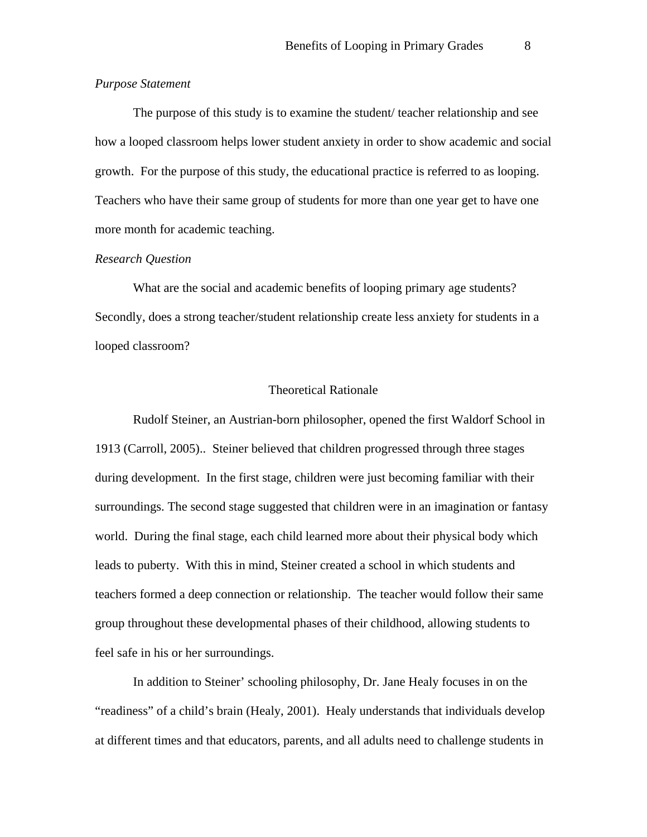## *Purpose Statement*

The purpose of this study is to examine the student/ teacher relationship and see how a looped classroom helps lower student anxiety in order to show academic and social growth. For the purpose of this study, the educational practice is referred to as looping. Teachers who have their same group of students for more than one year get to have one more month for academic teaching.

### *Research Question*

What are the social and academic benefits of looping primary age students? Secondly, does a strong teacher/student relationship create less anxiety for students in a looped classroom?

# Theoretical Rationale

Rudolf Steiner, an Austrian-born philosopher, opened the first Waldorf School in 1913 (Carroll, 2005).. Steiner believed that children progressed through three stages during development. In the first stage, children were just becoming familiar with their surroundings. The second stage suggested that children were in an imagination or fantasy world. During the final stage, each child learned more about their physical body which leads to puberty. With this in mind, Steiner created a school in which students and teachers formed a deep connection or relationship. The teacher would follow their same group throughout these developmental phases of their childhood, allowing students to feel safe in his or her surroundings.

In addition to Steiner' schooling philosophy, Dr. Jane Healy focuses in on the "readiness" of a child's brain (Healy, 2001). Healy understands that individuals develop at different times and that educators, parents, and all adults need to challenge students in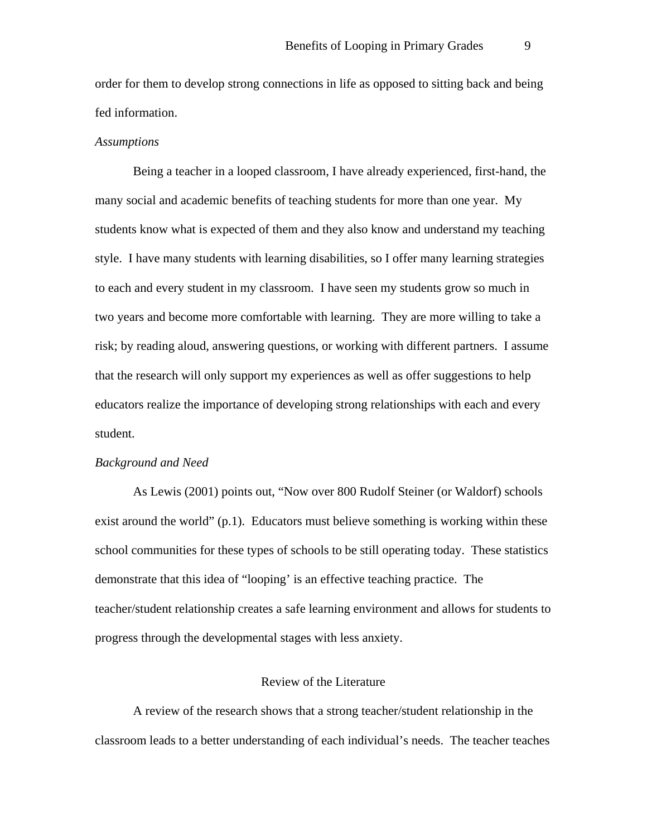order for them to develop strong connections in life as opposed to sitting back and being fed information.

#### *Assumptions*

Being a teacher in a looped classroom, I have already experienced, first-hand, the many social and academic benefits of teaching students for more than one year. My students know what is expected of them and they also know and understand my teaching style. I have many students with learning disabilities, so I offer many learning strategies to each and every student in my classroom. I have seen my students grow so much in two years and become more comfortable with learning. They are more willing to take a risk; by reading aloud, answering questions, or working with different partners. I assume that the research will only support my experiences as well as offer suggestions to help educators realize the importance of developing strong relationships with each and every student.

#### *Background and Need*

As Lewis (2001) points out, "Now over 800 Rudolf Steiner (or Waldorf) schools exist around the world"  $(p,1)$ . Educators must believe something is working within these school communities for these types of schools to be still operating today. These statistics demonstrate that this idea of "looping' is an effective teaching practice. The teacher/student relationship creates a safe learning environment and allows for students to progress through the developmental stages with less anxiety.

#### Review of the Literature

A review of the research shows that a strong teacher/student relationship in the classroom leads to a better understanding of each individual's needs. The teacher teaches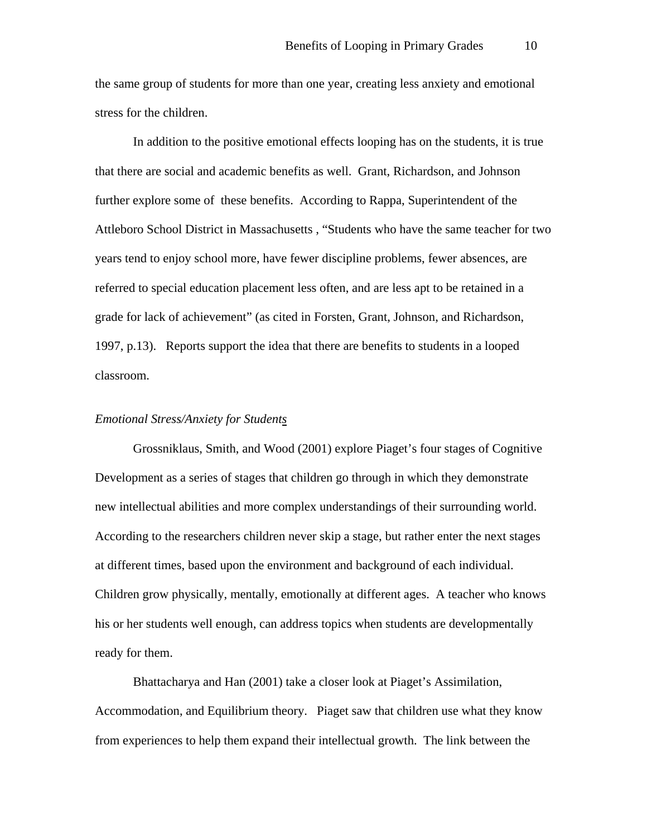the same group of students for more than one year, creating less anxiety and emotional stress for the children.

In addition to the positive emotional effects looping has on the students, it is true that there are social and academic benefits as well. Grant, Richardson, and Johnson further explore some of these benefits. According to Rappa, Superintendent of the Attleboro School District in Massachusetts , "Students who have the same teacher for two years tend to enjoy school more, have fewer discipline problems, fewer absences, are referred to special education placement less often, and are less apt to be retained in a grade for lack of achievement" (as cited in Forsten, Grant, Johnson, and Richardson, 1997, p.13). Reports support the idea that there are benefits to students in a looped classroom.

### *Emotional Stress/Anxiety for Students*

Grossniklaus, Smith, and Wood (2001) explore Piaget's four stages of Cognitive Development as a series of stages that children go through in which they demonstrate new intellectual abilities and more complex understandings of their surrounding world. According to the researchers children never skip a stage, but rather enter the next stages at different times, based upon the environment and background of each individual. Children grow physically, mentally, emotionally at different ages. A teacher who knows his or her students well enough, can address topics when students are developmentally ready for them.

Bhattacharya and Han (2001) take a closer look at Piaget's Assimilation, Accommodation, and Equilibrium theory. Piaget saw that children use what they know from experiences to help them expand their intellectual growth. The link between the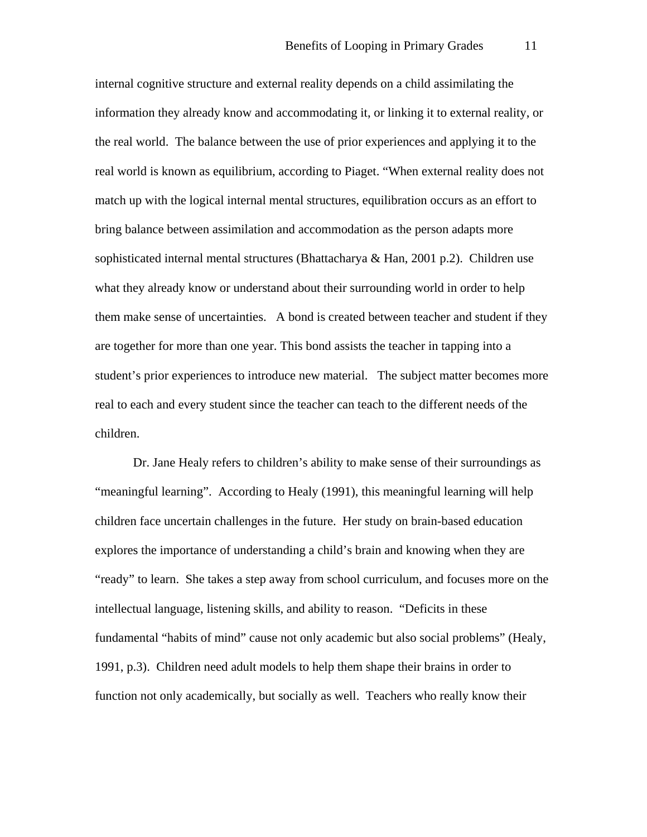internal cognitive structure and external reality depends on a child assimilating the information they already know and accommodating it, or linking it to external reality, or the real world. The balance between the use of prior experiences and applying it to the real world is known as equilibrium, according to Piaget. "When external reality does not match up with the logical internal mental structures, equilibration occurs as an effort to bring balance between assimilation and accommodation as the person adapts more sophisticated internal mental structures (Bhattacharya & Han, 2001 p.2). Children use what they already know or understand about their surrounding world in order to help them make sense of uncertainties. A bond is created between teacher and student if they are together for more than one year. This bond assists the teacher in tapping into a student's prior experiences to introduce new material. The subject matter becomes more real to each and every student since the teacher can teach to the different needs of the children.

Dr. Jane Healy refers to children's ability to make sense of their surroundings as "meaningful learning". According to Healy (1991), this meaningful learning will help children face uncertain challenges in the future. Her study on brain-based education explores the importance of understanding a child's brain and knowing when they are "ready" to learn. She takes a step away from school curriculum, and focuses more on the intellectual language, listening skills, and ability to reason. "Deficits in these fundamental "habits of mind" cause not only academic but also social problems" (Healy, 1991, p.3). Children need adult models to help them shape their brains in order to function not only academically, but socially as well. Teachers who really know their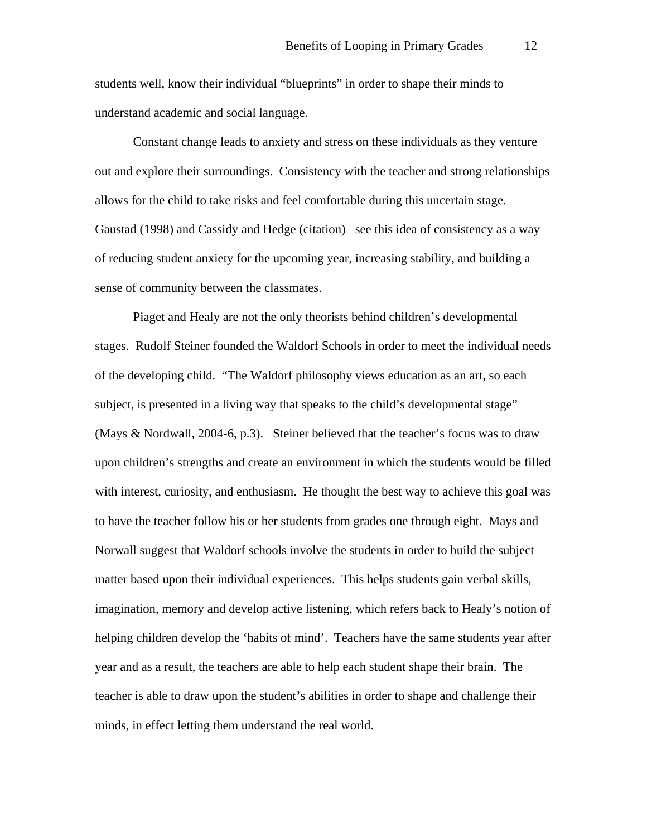students well, know their individual "blueprints" in order to shape their minds to understand academic and social language.

Constant change leads to anxiety and stress on these individuals as they venture out and explore their surroundings. Consistency with the teacher and strong relationships allows for the child to take risks and feel comfortable during this uncertain stage. Gaustad (1998) and Cassidy and Hedge (citation) see this idea of consistency as a way of reducing student anxiety for the upcoming year, increasing stability, and building a sense of community between the classmates.

Piaget and Healy are not the only theorists behind children's developmental stages. Rudolf Steiner founded the Waldorf Schools in order to meet the individual needs of the developing child. "The Waldorf philosophy views education as an art, so each subject, is presented in a living way that speaks to the child's developmental stage" (Mays & Nordwall, 2004-6, p.3). Steiner believed that the teacher's focus was to draw upon children's strengths and create an environment in which the students would be filled with interest, curiosity, and enthusiasm. He thought the best way to achieve this goal was to have the teacher follow his or her students from grades one through eight. Mays and Norwall suggest that Waldorf schools involve the students in order to build the subject matter based upon their individual experiences. This helps students gain verbal skills, imagination, memory and develop active listening, which refers back to Healy's notion of helping children develop the 'habits of mind'. Teachers have the same students year after year and as a result, the teachers are able to help each student shape their brain. The teacher is able to draw upon the student's abilities in order to shape and challenge their minds, in effect letting them understand the real world.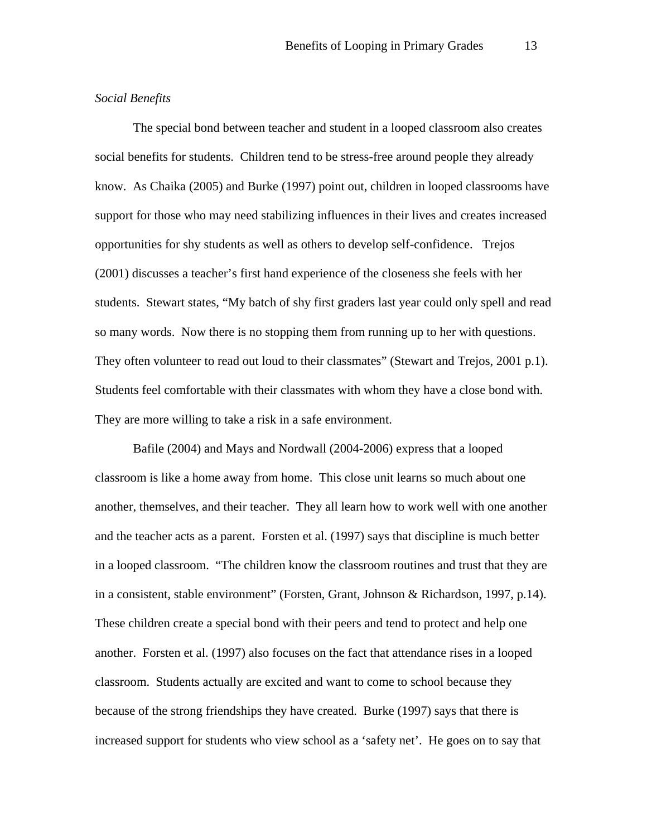# *Social Benefits*

The special bond between teacher and student in a looped classroom also creates social benefits for students. Children tend to be stress-free around people they already know. As Chaika (2005) and Burke (1997) point out, children in looped classrooms have support for those who may need stabilizing influences in their lives and creates increased opportunities for shy students as well as others to develop self-confidence. Trejos (2001) discusses a teacher's first hand experience of the closeness she feels with her students. Stewart states, "My batch of shy first graders last year could only spell and read so many words. Now there is no stopping them from running up to her with questions. They often volunteer to read out loud to their classmates" (Stewart and Trejos, 2001 p.1). Students feel comfortable with their classmates with whom they have a close bond with. They are more willing to take a risk in a safe environment.

Bafile (2004) and Mays and Nordwall (2004-2006) express that a looped classroom is like a home away from home. This close unit learns so much about one another, themselves, and their teacher. They all learn how to work well with one another and the teacher acts as a parent. Forsten et al. (1997) says that discipline is much better in a looped classroom. "The children know the classroom routines and trust that they are in a consistent, stable environment" (Forsten, Grant, Johnson & Richardson, 1997, p.14). These children create a special bond with their peers and tend to protect and help one another. Forsten et al. (1997) also focuses on the fact that attendance rises in a looped classroom. Students actually are excited and want to come to school because they because of the strong friendships they have created. Burke (1997) says that there is increased support for students who view school as a 'safety net'. He goes on to say that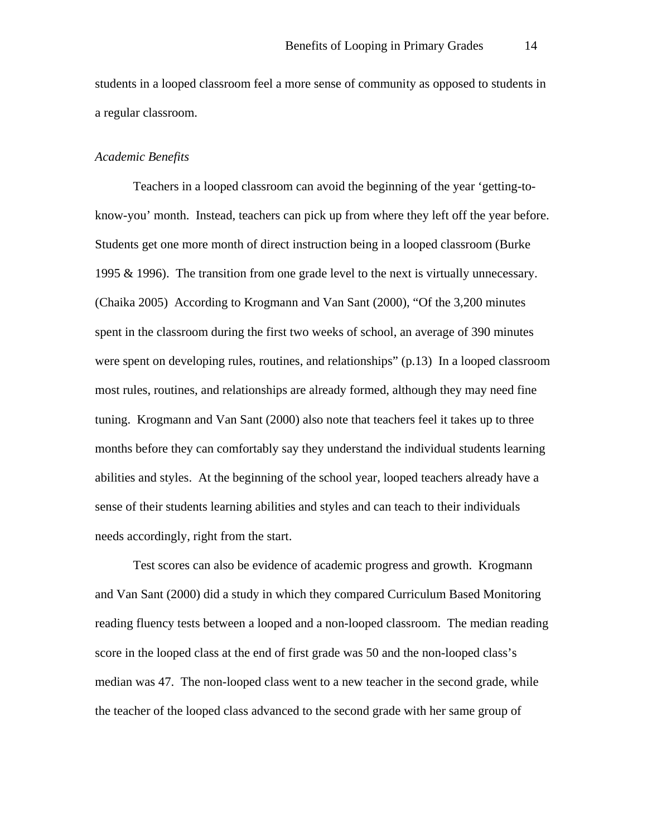students in a looped classroom feel a more sense of community as opposed to students in a regular classroom.

### *Academic Benefits*

Teachers in a looped classroom can avoid the beginning of the year 'getting-toknow-you' month. Instead, teachers can pick up from where they left off the year before. Students get one more month of direct instruction being in a looped classroom (Burke 1995 & 1996). The transition from one grade level to the next is virtually unnecessary. (Chaika 2005) According to Krogmann and Van Sant (2000), "Of the 3,200 minutes spent in the classroom during the first two weeks of school, an average of 390 minutes were spent on developing rules, routines, and relationships" (p.13) In a looped classroom most rules, routines, and relationships are already formed, although they may need fine tuning. Krogmann and Van Sant (2000) also note that teachers feel it takes up to three months before they can comfortably say they understand the individual students learning abilities and styles. At the beginning of the school year, looped teachers already have a sense of their students learning abilities and styles and can teach to their individuals needs accordingly, right from the start.

Test scores can also be evidence of academic progress and growth. Krogmann and Van Sant (2000) did a study in which they compared Curriculum Based Monitoring reading fluency tests between a looped and a non-looped classroom. The median reading score in the looped class at the end of first grade was 50 and the non-looped class's median was 47. The non-looped class went to a new teacher in the second grade, while the teacher of the looped class advanced to the second grade with her same group of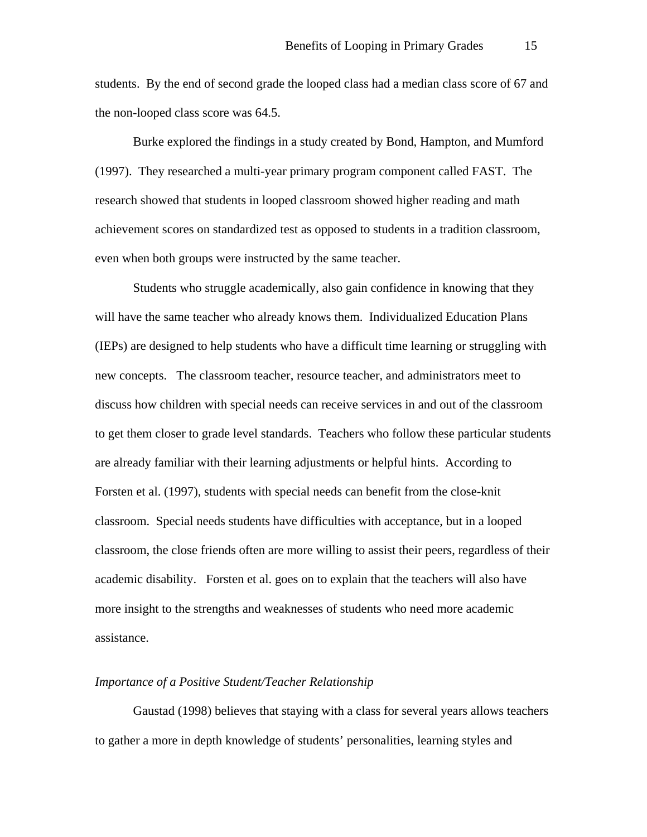students. By the end of second grade the looped class had a median class score of 67 and the non-looped class score was 64.5.

Burke explored the findings in a study created by Bond, Hampton, and Mumford (1997). They researched a multi-year primary program component called FAST. The research showed that students in looped classroom showed higher reading and math achievement scores on standardized test as opposed to students in a tradition classroom, even when both groups were instructed by the same teacher.

Students who struggle academically, also gain confidence in knowing that they will have the same teacher who already knows them. Individualized Education Plans (IEPs) are designed to help students who have a difficult time learning or struggling with new concepts. The classroom teacher, resource teacher, and administrators meet to discuss how children with special needs can receive services in and out of the classroom to get them closer to grade level standards. Teachers who follow these particular students are already familiar with their learning adjustments or helpful hints. According to Forsten et al. (1997), students with special needs can benefit from the close-knit classroom. Special needs students have difficulties with acceptance, but in a looped classroom, the close friends often are more willing to assist their peers, regardless of their academic disability. Forsten et al. goes on to explain that the teachers will also have more insight to the strengths and weaknesses of students who need more academic assistance.

# *Importance of a Positive Student/Teacher Relationship*

Gaustad (1998) believes that staying with a class for several years allows teachers to gather a more in depth knowledge of students' personalities, learning styles and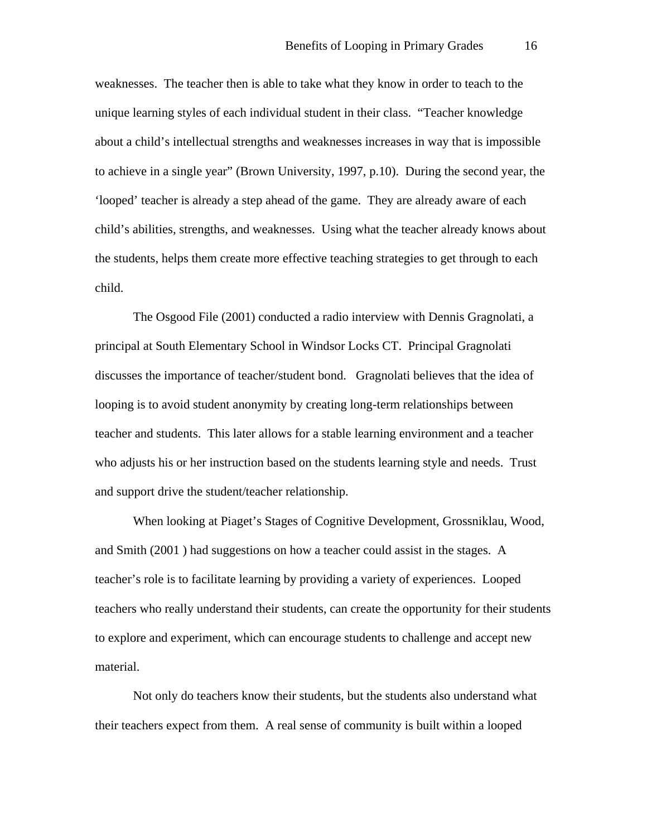weaknesses. The teacher then is able to take what they know in order to teach to the unique learning styles of each individual student in their class. "Teacher knowledge about a child's intellectual strengths and weaknesses increases in way that is impossible to achieve in a single year" (Brown University, 1997, p.10). During the second year, the 'looped' teacher is already a step ahead of the game. They are already aware of each child's abilities, strengths, and weaknesses. Using what the teacher already knows about the students, helps them create more effective teaching strategies to get through to each child.

The Osgood File (2001) conducted a radio interview with Dennis Gragnolati, a principal at South Elementary School in Windsor Locks CT. Principal Gragnolati discusses the importance of teacher/student bond. Gragnolati believes that the idea of looping is to avoid student anonymity by creating long-term relationships between teacher and students. This later allows for a stable learning environment and a teacher who adjusts his or her instruction based on the students learning style and needs. Trust and support drive the student/teacher relationship.

When looking at Piaget's Stages of Cognitive Development, Grossniklau, Wood, and Smith (2001 ) had suggestions on how a teacher could assist in the stages. A teacher's role is to facilitate learning by providing a variety of experiences. Looped teachers who really understand their students, can create the opportunity for their students to explore and experiment, which can encourage students to challenge and accept new material.

Not only do teachers know their students, but the students also understand what their teachers expect from them. A real sense of community is built within a looped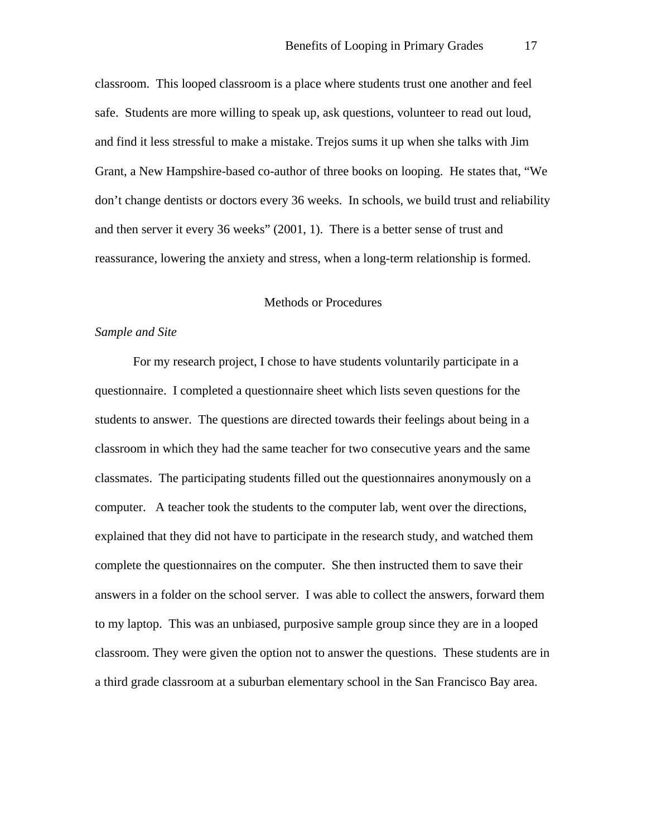classroom. This looped classroom is a place where students trust one another and feel safe. Students are more willing to speak up, ask questions, volunteer to read out loud, and find it less stressful to make a mistake. Trejos sums it up when she talks with Jim Grant, a New Hampshire-based co-author of three books on looping. He states that, "We don't change dentists or doctors every 36 weeks. In schools, we build trust and reliability and then server it every 36 weeks" (2001, 1). There is a better sense of trust and reassurance, lowering the anxiety and stress, when a long-term relationship is formed.

# Methods or Procedures

#### *Sample and Site*

 For my research project, I chose to have students voluntarily participate in a questionnaire. I completed a questionnaire sheet which lists seven questions for the students to answer. The questions are directed towards their feelings about being in a classroom in which they had the same teacher for two consecutive years and the same classmates. The participating students filled out the questionnaires anonymously on a computer. A teacher took the students to the computer lab, went over the directions, explained that they did not have to participate in the research study, and watched them complete the questionnaires on the computer. She then instructed them to save their answers in a folder on the school server. I was able to collect the answers, forward them to my laptop. This was an unbiased, purposive sample group since they are in a looped classroom. They were given the option not to answer the questions. These students are in a third grade classroom at a suburban elementary school in the San Francisco Bay area.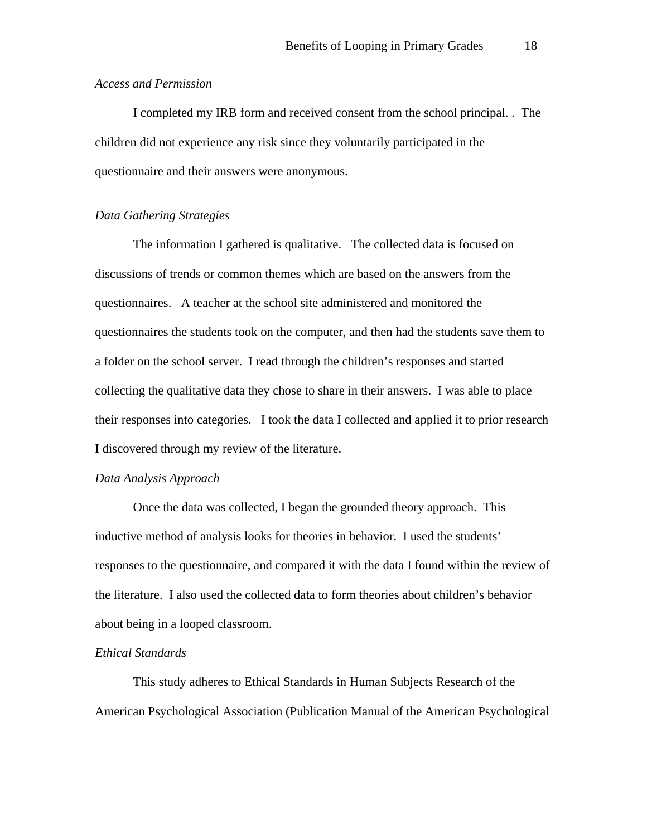# *Access and Permission*

 I completed my IRB form and received consent from the school principal. . The children did not experience any risk since they voluntarily participated in the questionnaire and their answers were anonymous.

# *Data Gathering Strategies*

 The information I gathered is qualitative. The collected data is focused on discussions of trends or common themes which are based on the answers from the questionnaires. A teacher at the school site administered and monitored the questionnaires the students took on the computer, and then had the students save them to a folder on the school server. I read through the children's responses and started collecting the qualitative data they chose to share in their answers. I was able to place their responses into categories. I took the data I collected and applied it to prior research I discovered through my review of the literature.

#### *Data Analysis Approach*

 Once the data was collected, I began the grounded theory approach. This inductive method of analysis looks for theories in behavior. I used the students' responses to the questionnaire, and compared it with the data I found within the review of the literature. I also used the collected data to form theories about children's behavior about being in a looped classroom.

# *Ethical Standards*

 This study adheres to Ethical Standards in Human Subjects Research of the American Psychological Association (Publication Manual of the American Psychological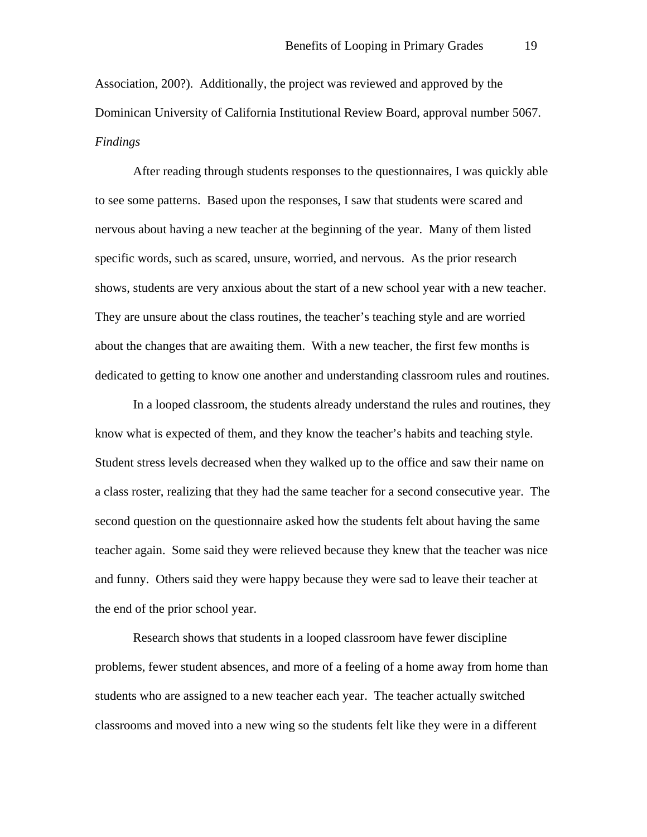Association, 200?). Additionally, the project was reviewed and approved by the Dominican University of California Institutional Review Board, approval number 5067. *Findings* 

 After reading through students responses to the questionnaires, I was quickly able to see some patterns. Based upon the responses, I saw that students were scared and nervous about having a new teacher at the beginning of the year. Many of them listed specific words, such as scared, unsure, worried, and nervous. As the prior research shows, students are very anxious about the start of a new school year with a new teacher. They are unsure about the class routines, the teacher's teaching style and are worried about the changes that are awaiting them. With a new teacher, the first few months is dedicated to getting to know one another and understanding classroom rules and routines.

In a looped classroom, the students already understand the rules and routines, they know what is expected of them, and they know the teacher's habits and teaching style. Student stress levels decreased when they walked up to the office and saw their name on a class roster, realizing that they had the same teacher for a second consecutive year. The second question on the questionnaire asked how the students felt about having the same teacher again. Some said they were relieved because they knew that the teacher was nice and funny. Others said they were happy because they were sad to leave their teacher at the end of the prior school year.

Research shows that students in a looped classroom have fewer discipline problems, fewer student absences, and more of a feeling of a home away from home than students who are assigned to a new teacher each year. The teacher actually switched classrooms and moved into a new wing so the students felt like they were in a different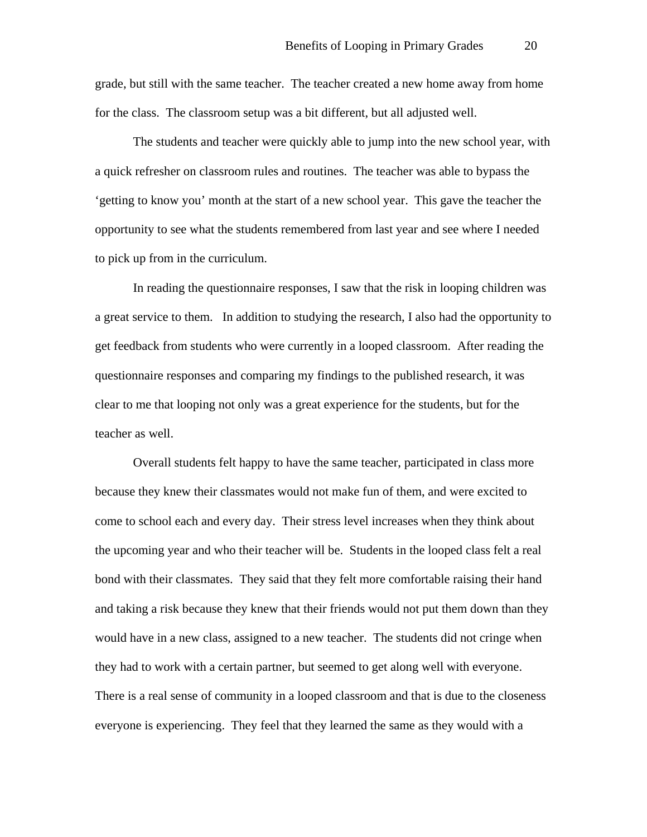grade, but still with the same teacher. The teacher created a new home away from home for the class. The classroom setup was a bit different, but all adjusted well.

 The students and teacher were quickly able to jump into the new school year, with a quick refresher on classroom rules and routines. The teacher was able to bypass the 'getting to know you' month at the start of a new school year. This gave the teacher the opportunity to see what the students remembered from last year and see where I needed to pick up from in the curriculum.

 In reading the questionnaire responses, I saw that the risk in looping children was a great service to them. In addition to studying the research, I also had the opportunity to get feedback from students who were currently in a looped classroom. After reading the questionnaire responses and comparing my findings to the published research, it was clear to me that looping not only was a great experience for the students, but for the teacher as well.

 Overall students felt happy to have the same teacher, participated in class more because they knew their classmates would not make fun of them, and were excited to come to school each and every day. Their stress level increases when they think about the upcoming year and who their teacher will be. Students in the looped class felt a real bond with their classmates. They said that they felt more comfortable raising their hand and taking a risk because they knew that their friends would not put them down than they would have in a new class, assigned to a new teacher. The students did not cringe when they had to work with a certain partner, but seemed to get along well with everyone. There is a real sense of community in a looped classroom and that is due to the closeness everyone is experiencing. They feel that they learned the same as they would with a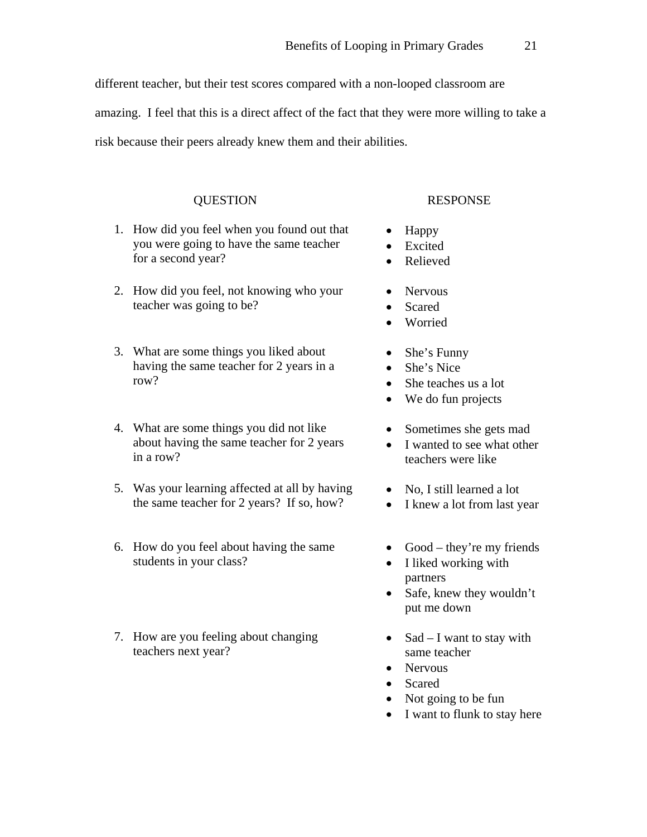different teacher, but their test scores compared with a non-looped classroom are

amazing. I feel that this is a direct affect of the fact that they were more willing to take a

risk because their peers already knew them and their abilities.

- 1. How did you feel when you found out that you were going to have the same teacher for a second year?
- 2. How did you feel, not knowing who your teacher was going to be?
- 3. What are some things you liked about having the same teacher for 2 years in a row?
- 4. What are some things you did not like about having the same teacher for 2 years in a row?
- 5. Was your learning affected at all by having the same teacher for 2 years? If so, how?
- 6. How do you feel about having the same students in your class?
- 7. How are you feeling about changing teachers next year?

# QUESTION RESPONSE

- Happy
- Excited
- Relieved
- Nervous
- Scared
- Worried
- She's Funny
- She's Nice
- She teaches us a lot
- We do fun projects
- Sometimes she gets mad
- I wanted to see what other teachers were like
- No, I still learned a lot
- I knew a lot from last year
- Good they're my friends
- I liked working with partners
- Safe, knew they wouldn't put me down
- Sad I want to stay with same teacher
- Nervous
- Scared
- Not going to be fun
- I want to flunk to stay here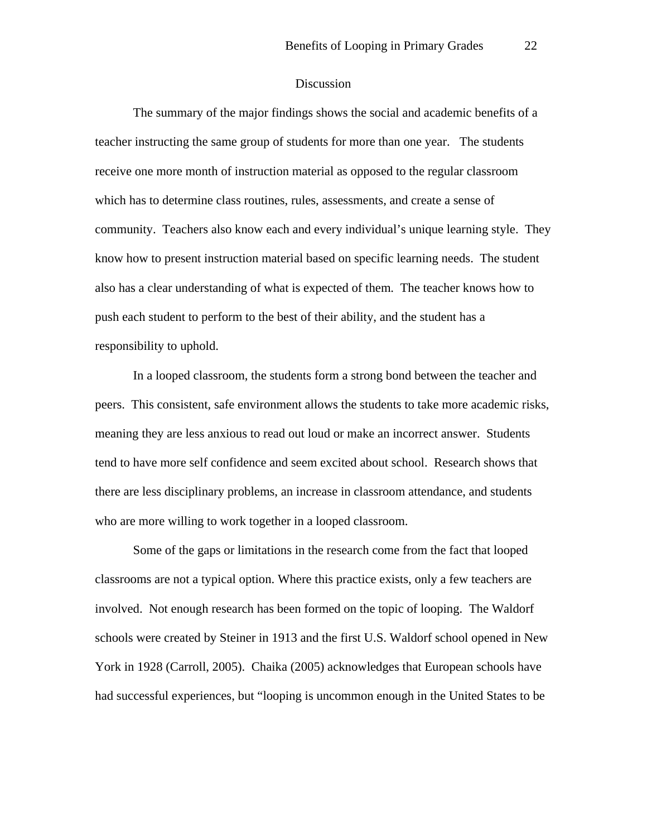#### Discussion

The summary of the major findings shows the social and academic benefits of a teacher instructing the same group of students for more than one year. The students receive one more month of instruction material as opposed to the regular classroom which has to determine class routines, rules, assessments, and create a sense of community. Teachers also know each and every individual's unique learning style. They know how to present instruction material based on specific learning needs. The student also has a clear understanding of what is expected of them. The teacher knows how to push each student to perform to the best of their ability, and the student has a responsibility to uphold.

In a looped classroom, the students form a strong bond between the teacher and peers. This consistent, safe environment allows the students to take more academic risks, meaning they are less anxious to read out loud or make an incorrect answer. Students tend to have more self confidence and seem excited about school. Research shows that there are less disciplinary problems, an increase in classroom attendance, and students who are more willing to work together in a looped classroom.

Some of the gaps or limitations in the research come from the fact that looped classrooms are not a typical option. Where this practice exists, only a few teachers are involved. Not enough research has been formed on the topic of looping. The Waldorf schools were created by Steiner in 1913 and the first U.S. Waldorf school opened in New York in 1928 (Carroll, 2005). Chaika (2005) acknowledges that European schools have had successful experiences, but "looping is uncommon enough in the United States to be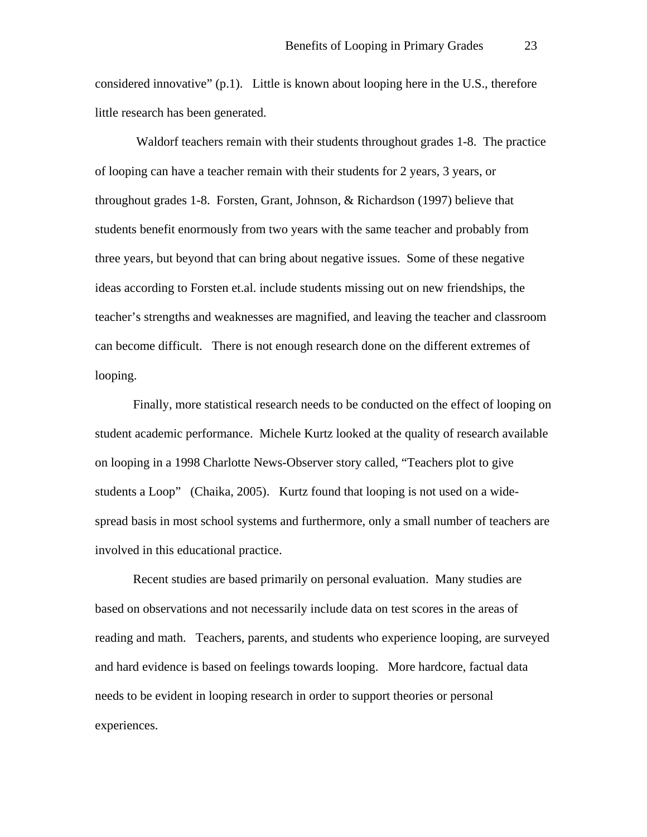considered innovative"  $(p,1)$ . Little is known about looping here in the U.S., therefore little research has been generated.

 Waldorf teachers remain with their students throughout grades 1-8. The practice of looping can have a teacher remain with their students for 2 years, 3 years, or throughout grades 1-8. Forsten, Grant, Johnson, & Richardson (1997) believe that students benefit enormously from two years with the same teacher and probably from three years, but beyond that can bring about negative issues. Some of these negative ideas according to Forsten et.al. include students missing out on new friendships, the teacher's strengths and weaknesses are magnified, and leaving the teacher and classroom can become difficult. There is not enough research done on the different extremes of looping.

 Finally, more statistical research needs to be conducted on the effect of looping on student academic performance. Michele Kurtz looked at the quality of research available on looping in a 1998 Charlotte News-Observer story called, "Teachers plot to give students a Loop" (Chaika, 2005). Kurtz found that looping is not used on a widespread basis in most school systems and furthermore, only a small number of teachers are involved in this educational practice.

Recent studies are based primarily on personal evaluation. Many studies are based on observations and not necessarily include data on test scores in the areas of reading and math. Teachers, parents, and students who experience looping, are surveyed and hard evidence is based on feelings towards looping. More hardcore, factual data needs to be evident in looping research in order to support theories or personal experiences.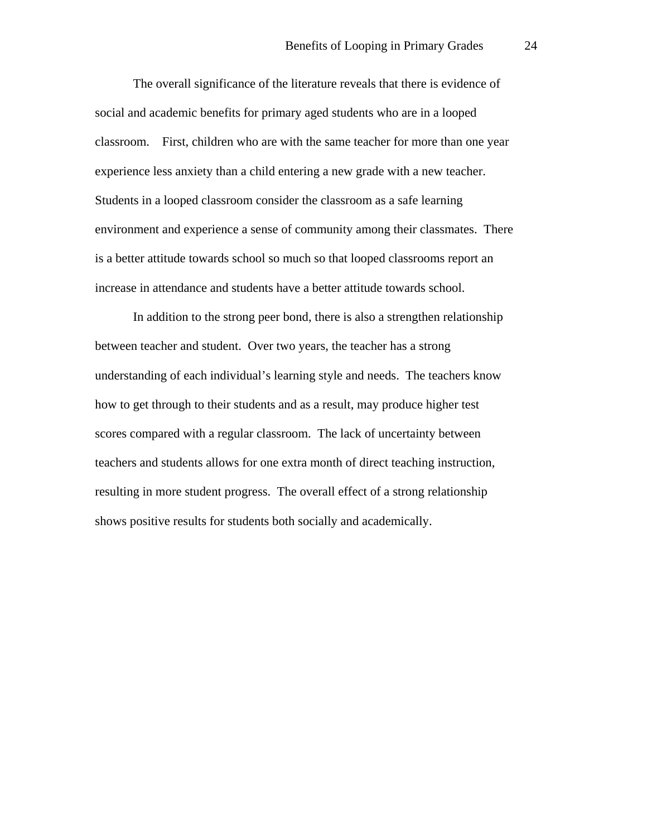The overall significance of the literature reveals that there is evidence of social and academic benefits for primary aged students who are in a looped classroom. First, children who are with the same teacher for more than one year experience less anxiety than a child entering a new grade with a new teacher. Students in a looped classroom consider the classroom as a safe learning environment and experience a sense of community among their classmates. There is a better attitude towards school so much so that looped classrooms report an increase in attendance and students have a better attitude towards school.

In addition to the strong peer bond, there is also a strengthen relationship between teacher and student. Over two years, the teacher has a strong understanding of each individual's learning style and needs. The teachers know how to get through to their students and as a result, may produce higher test scores compared with a regular classroom. The lack of uncertainty between teachers and students allows for one extra month of direct teaching instruction, resulting in more student progress. The overall effect of a strong relationship shows positive results for students both socially and academically.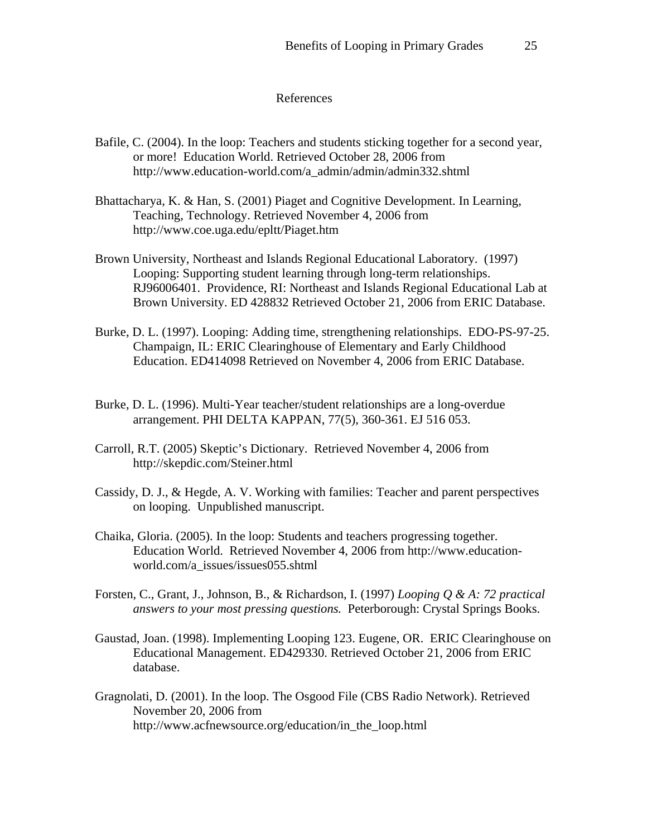#### References

- Bafile, C. (2004). In the loop: Teachers and students sticking together for a second year, or more! Education World. Retrieved October 28, 2006 from http://www.education-world.com/a\_admin/admin/admin332.shtml
- Bhattacharya, K. & Han, S. (2001) Piaget and Cognitive Development. In Learning, Teaching, Technology. Retrieved November 4, 2006 from http://www.coe.uga.edu/epltt/Piaget.htm
- Brown University, Northeast and Islands Regional Educational Laboratory. (1997) Looping: Supporting student learning through long-term relationships. RJ96006401. Providence, RI: Northeast and Islands Regional Educational Lab at Brown University. ED 428832 Retrieved October 21, 2006 from ERIC Database.
- Burke, D. L. (1997). Looping: Adding time, strengthening relationships. EDO-PS-97-25. Champaign, IL: ERIC Clearinghouse of Elementary and Early Childhood Education. ED414098 Retrieved on November 4, 2006 from ERIC Database.
- Burke, D. L. (1996). Multi-Year teacher/student relationships are a long-overdue arrangement. PHI DELTA KAPPAN, 77(5), 360-361. EJ 516 053.
- Carroll, R.T. (2005) Skeptic's Dictionary. Retrieved November 4, 2006 from http://skepdic.com/Steiner.html
- Cassidy, D. J., & Hegde, A. V. Working with families: Teacher and parent perspectives on looping. Unpublished manuscript.
- Chaika, Gloria. (2005). In the loop: Students and teachers progressing together. Education World. Retrieved November 4, 2006 from http://www.educationworld.com/a\_issues/issues055.shtml
- Forsten, C., Grant, J., Johnson, B., & Richardson, I. (1997) *Looping Q & A: 72 practical answers to your most pressing questions.* Peterborough: Crystal Springs Books.
- Gaustad, Joan. (1998). Implementing Looping 123. Eugene, OR. ERIC Clearinghouse on Educational Management. ED429330. Retrieved October 21, 2006 from ERIC database.
- Gragnolati, D. (2001). In the loop. The Osgood File (CBS Radio Network). Retrieved November 20, 2006 from http://www.acfnewsource.org/education/in\_the\_loop.html